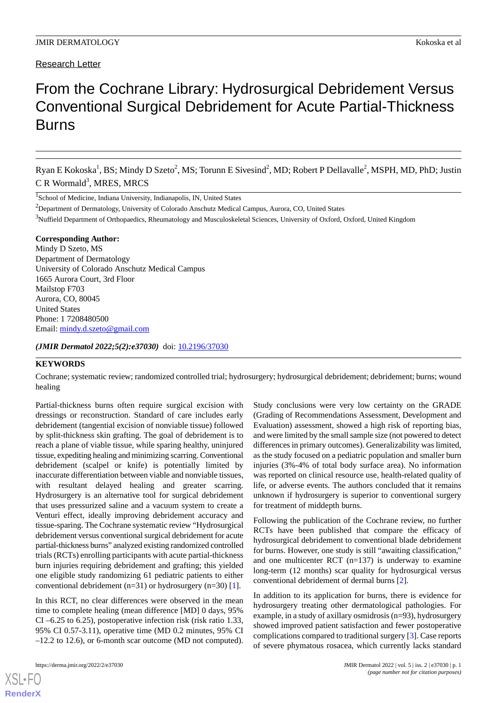# Research Letter

# From the Cochrane Library: Hydrosurgical Debridement Versus Conventional Surgical Debridement for Acute Partial-Thickness Burns

Ryan E Kokoska<sup>1</sup>, BS; Mindy D Szeto<sup>2</sup>, MS; Torunn E Sivesind<sup>2</sup>, MD; Robert P Dellavalle<sup>2</sup>, MSPH, MD, PhD; Justin C R Wormald<sup>3</sup>, MRES, MRCS

<sup>1</sup>School of Medicine, Indiana University, Indianapolis, IN, United States

<sup>2</sup>Department of Dermatology, University of Colorado Anschutz Medical Campus, Aurora, CO, United States

<sup>3</sup>Nuffield Department of Orthopaedics, Rheumatology and Musculoskeletal Sciences, University of Oxford, Oxford, United Kingdom

#### **Corresponding Author:**

Mindy D Szeto, MS Department of Dermatology University of Colorado Anschutz Medical Campus 1665 Aurora Court, 3rd Floor Mailstop F703 Aurora, CO, 80045 United States Phone: 1 7208480500 Email: [mindy.d.szeto@gmail.com](mailto:mindy.d.szeto@gmail.com)

*(JMIR Dermatol 2022;5(2):e37030)* doi: [10.2196/37030](http://dx.doi.org/10.2196/37030)

#### **KEYWORDS**

Cochrane; systematic review; randomized controlled trial; hydrosurgery; hydrosurgical debridement; debridement; burns; wound healing

Partial-thickness burns often require surgical excision with dressings or reconstruction. Standard of care includes early debridement (tangential excision of nonviable tissue) followed by split-thickness skin grafting. The goal of debridement is to reach a plane of viable tissue, while sparing healthy, uninjured tissue, expediting healing and minimizing scarring. Conventional debridement (scalpel or knife) is potentially limited by inaccurate differentiation between viable and nonviable tissues, with resultant delayed healing and greater scarring. Hydrosurgery is an alternative tool for surgical debridement that uses pressurized saline and a vacuum system to create a Venturi effect, ideally improving debridement accuracy and tissue-sparing. The Cochrane systematic review "Hydrosurgical debridement versus conventional surgical debridement for acute partial-thickness burns" analyzed existing randomized controlled trials (RCTs) enrolling participants with acute partial-thickness burn injuries requiring debridement and grafting; this yielded one eligible study randomizing 61 pediatric patients to either conventional debridement (n=31) or hydrosurgery (n=30) [[1\]](#page-1-0).

In this RCT, no clear differences were observed in the mean time to complete healing (mean difference [MD] 0 days, 95% CI –6.25 to 6.25), postoperative infection risk (risk ratio 1.33, 95% CI 0.57-3.11), operative time (MD 0.2 minutes, 95% CI –12.2 to 12.6), or 6-month scar outcome (MD not computed).

[XSL](http://www.w3.org/Style/XSL)•FO **[RenderX](http://www.renderx.com/)**

Study conclusions were very low certainty on the GRADE (Grading of Recommendations Assessment, Development and Evaluation) assessment, showed a high risk of reporting bias, and were limited by the small sample size (not powered to detect differences in primary outcomes). Generalizability was limited, as the study focused on a pediatric population and smaller burn injuries (3%-4% of total body surface area). No information was reported on clinical resource use, health-related quality of life, or adverse events. The authors concluded that it remains unknown if hydrosurgery is superior to conventional surgery for treatment of middepth burns.

Following the publication of the Cochrane review, no further RCTs have been published that compare the efficacy of hydrosurgical debridement to conventional blade debridement for burns. However, one study is still "awaiting classification," and one multicenter RCT (n=137) is underway to examine long-term (12 months) scar quality for hydrosurgical versus conventional debridement of dermal burns [[2\]](#page-1-1).

In addition to its application for burns, there is evidence for hydrosurgery treating other dermatological pathologies. For example, in a study of axillary osmidrosis (n=93), hydrosurgery showed improved patient satisfaction and fewer postoperative complications compared to traditional surgery [[3\]](#page-1-2). Case reports of severe phymatous rosacea, which currently lacks standard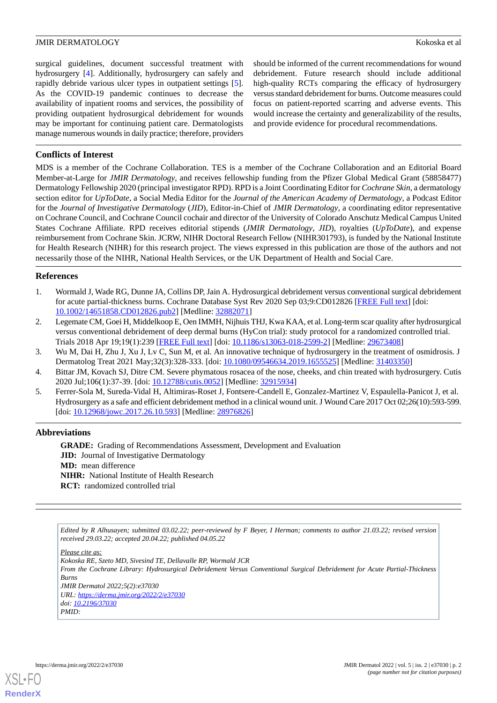#### **JMIR DERMATOLOGY** Kokoska et al

surgical guidelines, document successful treatment with hydrosurgery [[4\]](#page-1-3). Additionally, hydrosurgery can safely and rapidly debride various ulcer types in outpatient settings [[5\]](#page-1-4). As the COVID-19 pandemic continues to decrease the availability of inpatient rooms and services, the possibility of providing outpatient hydrosurgical debridement for wounds may be important for continuing patient care. Dermatologists manage numerous wounds in daily practice; therefore, providers

should be informed of the current recommendations for wound debridement. Future research should include additional high-quality RCTs comparing the efficacy of hydrosurgery versus standard debridement for burns. Outcome measures could focus on patient-reported scarring and adverse events. This would increase the certainty and generalizability of the results, and provide evidence for procedural recommendations.

### **Conflicts of Interest**

MDS is a member of the Cochrane Collaboration. TES is a member of the Cochrane Collaboration and an Editorial Board Member-at-Large for *JMIR Dermatology*, and receives fellowship funding from the Pfizer Global Medical Grant (58858477) Dermatology Fellowship 2020 (principal investigator RPD). RPD is a Joint Coordinating Editor for *Cochrane Skin*, a dermatology section editor for *UpToDate*, a Social Media Editor for the *Journal of the American Academy of Dermatology*, a Podcast Editor for the *Journal of Investigative Dermatology* (*JID*), Editor-in-Chief of *JMIR Dermatology*, a coordinating editor representative on Cochrane Council, and Cochrane Council cochair and director of the University of Colorado Anschutz Medical Campus United States Cochrane Affiliate. RPD receives editorial stipends (*JMIR Dermatology*, *JID*), royalties (*UpToDate*), and expense reimbursement from Cochrane Skin. JCRW, NIHR Doctoral Research Fellow (NIHR301793), is funded by the National Institute for Health Research (NIHR) for this research project. The views expressed in this publication are those of the authors and not necessarily those of the NIHR, National Health Services, or the UK Department of Health and Social Care.

#### <span id="page-1-0"></span>**References**

- <span id="page-1-1"></span>1. Wormald J, Wade RG, Dunne JA, Collins DP, Jain A. Hydrosurgical debridement versus conventional surgical debridement for acute partial-thickness burns. Cochrane Database Syst Rev 2020 Sep 03;9:CD012826 [\[FREE Full text\]](http://europepmc.org/abstract/MED/32882071) [doi: [10.1002/14651858.CD012826.pub2\]](http://dx.doi.org/10.1002/14651858.CD012826.pub2) [Medline: [32882071](http://www.ncbi.nlm.nih.gov/entrez/query.fcgi?cmd=Retrieve&db=PubMed&list_uids=32882071&dopt=Abstract)]
- <span id="page-1-3"></span><span id="page-1-2"></span>2. Legemate CM, Goei H, Middelkoop E, Oen IMMH, Nijhuis THJ, Kwa KAA, et al. Long-term scar quality after hydrosurgical versus conventional debridement of deep dermal burns (HyCon trial): study protocol for a randomized controlled trial. Trials 2018 Apr 19;19(1):239 [[FREE Full text](https://trialsjournal.biomedcentral.com/articles/10.1186/s13063-018-2599-2)] [doi: [10.1186/s13063-018-2599-2](http://dx.doi.org/10.1186/s13063-018-2599-2)] [Medline: [29673408](http://www.ncbi.nlm.nih.gov/entrez/query.fcgi?cmd=Retrieve&db=PubMed&list_uids=29673408&dopt=Abstract)]
- <span id="page-1-4"></span>3. Wu M, Dai H, Zhu J, Xu J, Lv C, Sun M, et al. An innovative technique of hydrosurgery in the treatment of osmidrosis. J Dermatolog Treat 2021 May;32(3):328-333. [doi: [10.1080/09546634.2019.1655525](http://dx.doi.org/10.1080/09546634.2019.1655525)] [Medline: [31403350\]](http://www.ncbi.nlm.nih.gov/entrez/query.fcgi?cmd=Retrieve&db=PubMed&list_uids=31403350&dopt=Abstract)
- 4. Bittar JM, Kovach SJ, Ditre CM. Severe phymatous rosacea of the nose, cheeks, and chin treated with hydrosurgery. Cutis 2020 Jul;106(1):37-39. [doi: [10.12788/cutis.0052](http://dx.doi.org/10.12788/cutis.0052)] [Medline: [32915934](http://www.ncbi.nlm.nih.gov/entrez/query.fcgi?cmd=Retrieve&db=PubMed&list_uids=32915934&dopt=Abstract)]
- 5. Ferrer-Sola M, Sureda-Vidal H, Altimiras-Roset J, Fontsere-Candell E, Gonzalez-Martinez V, Espaulella-Panicot J, et al. Hydrosurgery as a safe and efficient debridement method in a clinical wound unit. J Wound Care 2017 Oct 02;26(10):593-599. [doi: [10.12968/jowc.2017.26.10.593](http://dx.doi.org/10.12968/jowc.2017.26.10.593)] [Medline: [28976826](http://www.ncbi.nlm.nih.gov/entrez/query.fcgi?cmd=Retrieve&db=PubMed&list_uids=28976826&dopt=Abstract)]

#### **Abbreviations**

**GRADE:** Grading of Recommendations Assessment, Development and Evaluation **JID:** Journal of Investigative Dermatology **MD:** mean difference **NIHR:** National Institute of Health Research **RCT:** randomized controlled trial

*Edited by R Alhusayen; submitted 03.02.22; peer-reviewed by F Beyer, I Herman; comments to author 21.03.22; revised version received 29.03.22; accepted 20.04.22; published 04.05.22*

*Please cite as: Kokoska RE, Szeto MD, Sivesind TE, Dellavalle RP, Wormald JCR From the Cochrane Library: Hydrosurgical Debridement Versus Conventional Surgical Debridement for Acute Partial-Thickness Burns JMIR Dermatol 2022;5(2):e37030 URL: <https://derma.jmir.org/2022/2/e37030> doi: [10.2196/37030](http://dx.doi.org/10.2196/37030) PMID:*